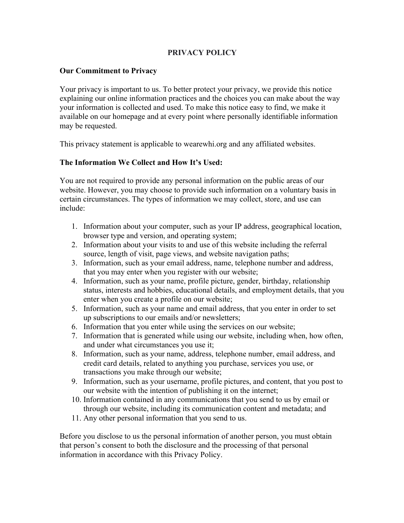# **PRIVACY POLICY**

#### **Our Commitment to Privacy**

Your privacy is important to us. To better protect your privacy, we provide this notice explaining our online information practices and the choices you can make about the way your information is collected and used. To make this notice easy to find, we make it available on our homepage and at every point where personally identifiable information may be requested.

This privacy statement is applicable to wearewhi.org and any affiliated websites.

## **The Information We Collect and How It's Used:**

You are not required to provide any personal information on the public areas of our website. However, you may choose to provide such information on a voluntary basis in certain circumstances. The types of information we may collect, store, and use can include:

- 1. Information about your computer, such as your IP address, geographical location, browser type and version, and operating system;
- 2. Information about your visits to and use of this website including the referral source, length of visit, page views, and website navigation paths;
- 3. Information, such as your email address, name, telephone number and address, that you may enter when you register with our website;
- 4. Information, such as your name, profile picture, gender, birthday, relationship status, interests and hobbies, educational details, and employment details, that you enter when you create a profile on our website;
- 5. Information, such as your name and email address, that you enter in order to set up subscriptions to our emails and/or newsletters;
- 6. Information that you enter while using the services on our website;
- 7. Information that is generated while using our website, including when, how often, and under what circumstances you use it;
- 8. Information, such as your name, address, telephone number, email address, and credit card details, related to anything you purchase, services you use, or transactions you make through our website;
- 9. Information, such as your username, profile pictures, and content, that you post to our website with the intention of publishing it on the internet;
- 10. Information contained in any communications that you send to us by email or through our website, including its communication content and metadata; and
- 11. Any other personal information that you send to us.

Before you disclose to us the personal information of another person, you must obtain that person's consent to both the disclosure and the processing of that personal information in accordance with this Privacy Policy.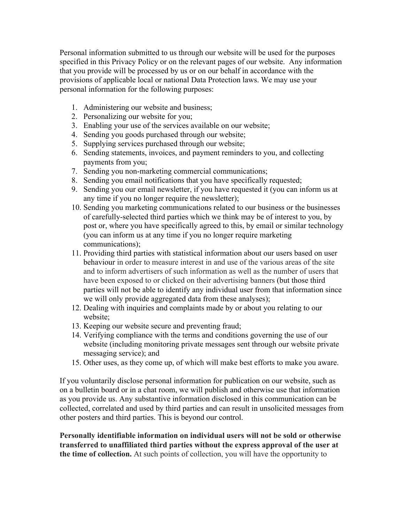Personal information submitted to us through our website will be used for the purposes specified in this Privacy Policy or on the relevant pages of our website. Any information that you provide will be processed by us or on our behalf in accordance with the provisions of applicable local or national Data Protection laws. We may use your personal information for the following purposes:

- 1. Administering our website and business;
- 2. Personalizing our website for you;
- 3. Enabling your use of the services available on our website;
- 4. Sending you goods purchased through our website;
- 5. Supplying services purchased through our website;
- 6. Sending statements, invoices, and payment reminders to you, and collecting payments from you;
- 7. Sending you non-marketing commercial communications;
- 8. Sending you email notifications that you have specifically requested;
- 9. Sending you our email newsletter, if you have requested it (you can inform us at any time if you no longer require the newsletter);
- 10. Sending you marketing communications related to our business or the businesses of carefully-selected third parties which we think may be of interest to you, by post or, where you have specifically agreed to this, by email or similar technology (you can inform us at any time if you no longer require marketing communications);
- 11. Providing third parties with statistical information about our users based on user behaviour in order to measure interest in and use of the various areas of the site and to inform advertisers of such information as well as the number of users that have been exposed to or clicked on their advertising banners (but those third parties will not be able to identify any individual user from that information since we will only provide aggregated data from these analyses);
- 12. Dealing with inquiries and complaints made by or about you relating to our website;
- 13. Keeping our website secure and preventing fraud;
- 14. Verifying compliance with the terms and conditions governing the use of our website (including monitoring private messages sent through our website private messaging service); and
- 15. Other uses, as they come up, of which will make best efforts to make you aware.

If you voluntarily disclose personal information for publication on our website, such as on a bulletin board or in a chat room, we will publish and otherwise use that information as you provide us. Any substantive information disclosed in this communication can be collected, correlated and used by third parties and can result in unsolicited messages from other posters and third parties. This is beyond our control.

**Personally identifiable information on individual users will not be sold or otherwise transferred to unaffiliated third parties without the express approval of the user at the time of collection.** At such points of collection, you will have the opportunity to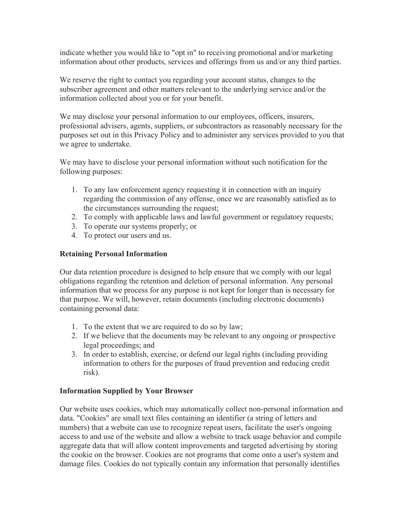indicate whether you would like to "opt in" to receiving promotional and/or marketing information about other products, services and offerings from us and/or any third parties.

We reserve the right to contact you regarding your account status, changes to the subscriber agreement and other matters relevant to the underlying service and/or the information collected about you or for your benefit.

We may disclose your personal information to our employees, officers, insurers, professional advisers, agents, suppliers, or subcontractors as reasonably necessary for the purposes set out in this Privacy Policy and to administer any services provided to you that we agree to undertake.

We may have to disclose your personal information without such notification for the following purposes:

- 1. To any law enforcement agency requesting it in connection with an inquiry regarding the commission of any offense, once we are reasonably satisfied as to the circumstances surrounding the request;
- 2. To comply with applicable laws and lawful government or regulatory requests;
- 3. To operate our systems properly; or
- 4. To protect our users and us.

#### **Retaining Personal Information**

Our data retention procedure is designed to help ensure that we comply with our legal obligations regarding the retention and deletion of personal information. Any personal information that we process for any purpose is not kept for longer than is necessary for that purpose. We will, however, retain documents (including electronic documents) containing personal data:

- 1. To the extent that we are required to do so by law;
- 2. If we believe that the documents may be relevant to any ongoing or prospective legal proceedings; and
- 3. In order to establish, exercise, or defend our legal rights (including providing information to others for the purposes of fraud prevention and reducing credit risk).

#### **Information Supplied by Your Browser**

Our website uses cookies, which may automatically collect non-personal information and data. "Cookies" are small text files containing an identifier (a string of letters and numbers) that a website can use to recognize repeat users, facilitate the user's ongoing access to and use of the website and allow a website to track usage behavior and compile aggregate data that will allow content improvements and targeted advertising by storing the cookie on the browser. Cookies are not programs that come onto a user's system and damage files. Cookies do not typically contain any information that personally identifies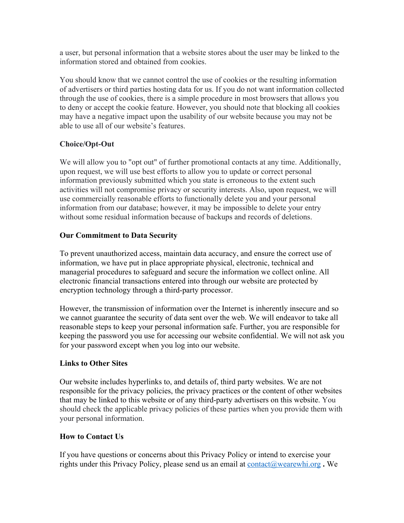a user, but personal information that a website stores about the user may be linked to the information stored and obtained from cookies.

You should know that we cannot control the use of cookies or the resulting information of advertisers or third parties hosting data for us. If you do not want information collected through the use of cookies, there is a simple procedure in most browsers that allows you to deny or accept the cookie feature. However, you should note that blocking all cookies may have a negative impact upon the usability of our website because you may not be able to use all of our website's features.

# **Choice/Opt-Out**

We will allow you to "opt out" of further promotional contacts at any time. Additionally, upon request, we will use best efforts to allow you to update or correct personal information previously submitted which you state is erroneous to the extent such activities will not compromise privacy or security interests. Also, upon request, we will use commercially reasonable efforts to functionally delete you and your personal information from our database; however, it may be impossible to delete your entry without some residual information because of backups and records of deletions.

## **Our Commitment to Data Security**

To prevent unauthorized access, maintain data accuracy, and ensure the correct use of information, we have put in place appropriate physical, electronic, technical and managerial procedures to safeguard and secure the information we collect online. All electronic financial transactions entered into through our website are protected by encryption technology through a third-party processor.

However, the transmission of information over the Internet is inherently insecure and so we cannot guarantee the security of data sent over the web. We will endeavor to take all reasonable steps to keep your personal information safe. Further, you are responsible for keeping the password you use for accessing our website confidential. We will not ask you for your password except when you log into our website.

## **Links to Other Sites**

Our website includes hyperlinks to, and details of, third party websites. We are not responsible for the privacy policies, the privacy practices or the content of other websites that may be linked to this website or of any third-party advertisers on this website. You should check the applicable privacy policies of these parties when you provide them with your personal information.

## **How to Contact Us**

If you have questions or concerns about this Privacy Policy or intend to exercise your rights under this Privacy Policy, please send us an email at contact@wearewhi.org **.** We